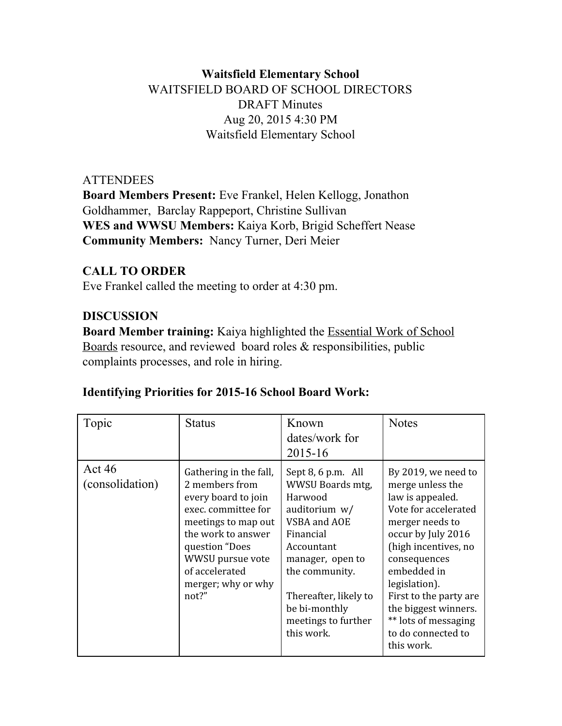# **Waitsfield Elementary School** WAITSFIELD BOARD OF SCHOOL DIRECTORS DRAFT Minutes Aug 20, 2015 4:30 PM Waitsfield Elementary School

## **ATTENDEES**

**Board Members Present:**Eve Frankel, Helen Kellogg, Jonathon Goldhammer, Barclay Rappeport, Christine Sullivan **WES and WWSU Members:**Kaiya Korb, Brigid Scheffert Nease **Community Members: Nancy Turner, Deri Meier** 

# **CALL TO ORDER**

Eve Frankel called the meeting to order at 4:30 pm.

## **DISCUSSION**

**Board Member training:** Kaiya highlighted the Essential Work of School Boards resource, and reviewed board roles & responsibilities, public complaints processes, and role in hiring.

| Topic                     | Status                                                                                                                                                                                                                     | Known<br>dates/work for<br>2015-16                                                                                                                                                                                                     | <b>Notes</b>                                                                                                                                                                                                                                                                                                        |
|---------------------------|----------------------------------------------------------------------------------------------------------------------------------------------------------------------------------------------------------------------------|----------------------------------------------------------------------------------------------------------------------------------------------------------------------------------------------------------------------------------------|---------------------------------------------------------------------------------------------------------------------------------------------------------------------------------------------------------------------------------------------------------------------------------------------------------------------|
| Act 46<br>(consolidation) | Gathering in the fall,<br>2 members from<br>every board to join<br>exec. committee for<br>meetings to map out<br>the work to answer<br>question "Does<br>WWSU pursue vote<br>of accelerated<br>merger; why or why<br>not?" | Sept $8, 6$ p.m. All<br>WWSU Boards mtg,<br>Harwood<br>auditorium $w/$<br>VSBA and AOE<br>Financial<br>Accountant<br>manager, open to<br>the community.<br>Thereafter, likely to<br>be bi-monthly<br>meetings to further<br>this work. | By 2019, we need to<br>merge unless the<br>law is appealed.<br>Vote for accelerated<br>merger needs to<br>occur by July 2016<br>(high incentives, no<br>consequences<br>embedded in<br>legislation).<br>First to the party are.<br>the biggest winners.<br>** lots of messaging<br>to do connected to<br>this work. |

## **Identifying Priorities for 201516 School Board Work:**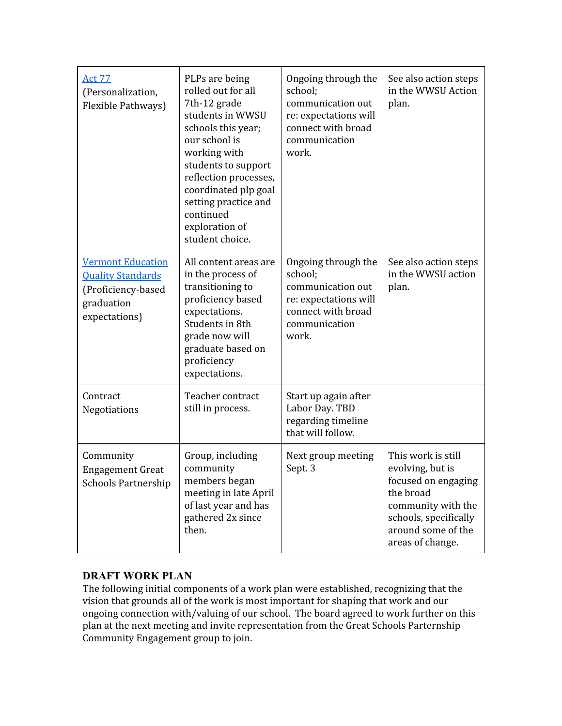| <b>Act 77</b><br>(Personalization,<br>Flexible Pathways)                                                  | PLPs are being<br>rolled out for all<br>7th-12 grade<br>students in WWSU<br>schools this year;<br>our school is<br>working with<br>students to support<br>reflection processes,<br>coordinated plp goal<br>setting practice and<br>continued<br>exploration of<br>student choice. | Ongoing through the<br>school;<br>communication out<br>re: expectations will<br>connect with broad<br>communication<br>work. | See also action steps<br>in the WWSU Action<br>plan.                                                                                                                |
|-----------------------------------------------------------------------------------------------------------|-----------------------------------------------------------------------------------------------------------------------------------------------------------------------------------------------------------------------------------------------------------------------------------|------------------------------------------------------------------------------------------------------------------------------|---------------------------------------------------------------------------------------------------------------------------------------------------------------------|
| <b>Vermont Education</b><br><b>Quality Standards</b><br>(Proficiency-based<br>graduation<br>expectations) | All content areas are<br>in the process of<br>transitioning to<br>proficiency based<br>expectations.<br>Students in 8th<br>grade now will<br>graduate based on<br>proficiency<br>expectations.                                                                                    | Ongoing through the<br>school;<br>communication out<br>re: expectations will<br>connect with broad<br>communication<br>work. | See also action steps<br>in the WWSU action<br>plan.                                                                                                                |
| Contract<br>Negotiations                                                                                  | Teacher contract<br>still in process.                                                                                                                                                                                                                                             | Start up again after<br>Labor Day. TBD<br>regarding timeline<br>that will follow.                                            |                                                                                                                                                                     |
| Community<br><b>Engagement Great</b><br><b>Schools Partnership</b>                                        | Group, including<br>community<br>members began<br>meeting in late April<br>of last year and has<br>gathered 2x since<br>then.                                                                                                                                                     | Next group meeting<br>Sept. 3                                                                                                | This work is still<br>evolving, but is<br>focused on engaging<br>the broad<br>community with the<br>schools, specifically<br>around some of the<br>areas of change. |

#### **DRAFT WORK PLAN**

The following initial components of a work plan were established, recognizing that the vision that grounds all of the work is most important for shaping that work and our ongoing connection with/valuing of our school. The board agreed to work further on this plan at the next meeting and invite representation from the Great Schools Parternship Community Engagement group to join.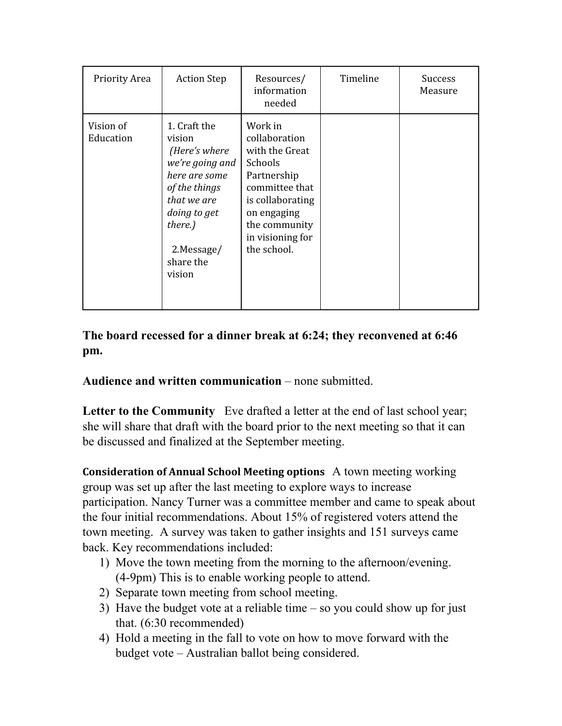| <b>Priority Area</b>   | <b>Action Step</b>                                                                                                                                                           | Resources/<br>information<br>needed                                                                                                                                           | Timeline | <b>Success</b><br>Measure |
|------------------------|------------------------------------------------------------------------------------------------------------------------------------------------------------------------------|-------------------------------------------------------------------------------------------------------------------------------------------------------------------------------|----------|---------------------------|
| Vision of<br>Education | 1. Craft the<br>vision<br>(Here's where<br>we're going and<br>here are some<br>of the things<br>that we are<br>doing to get<br>there.)<br>2. Message/<br>share the<br>vision | Work in<br>collaboration<br>with the Great<br>Schools<br>Partnership<br>committee that<br>is collaborating<br>on engaging<br>the community<br>in visioning for<br>the school. |          |                           |

## **The board recessed for a dinner break at 6:24; they reconvened at 6:46 pm.**

### **Audience and written communication**– none submitted.

**Letter to the Community** Eve drafted a letter at the end of last school year; she will share that draft with the board prior to the next meeting so that it can be discussed and finalized at the September meeting.

**Consideration of Annual School Meeting options** A town meeting working group was set up after the last meeting to explore ways to increase participation. Nancy Turner was a committee member and came to speak about the four initial recommendations. About 15% of registered voters attend the town meeting. A survey was taken to gather insights and 151 surveys came back. Key recommendations included:

- 1) Move the town meeting from the morning to the afternoon/evening. (49pm) This is to enable working people to attend.
- 2) Separate town meeting from school meeting.
- 3) Have the budget vote at a reliable time so you could show up for just that. (6:30 recommended)
- 4) Hold a meeting in the fall to vote on how to move forward with the budget vote – Australian ballot being considered.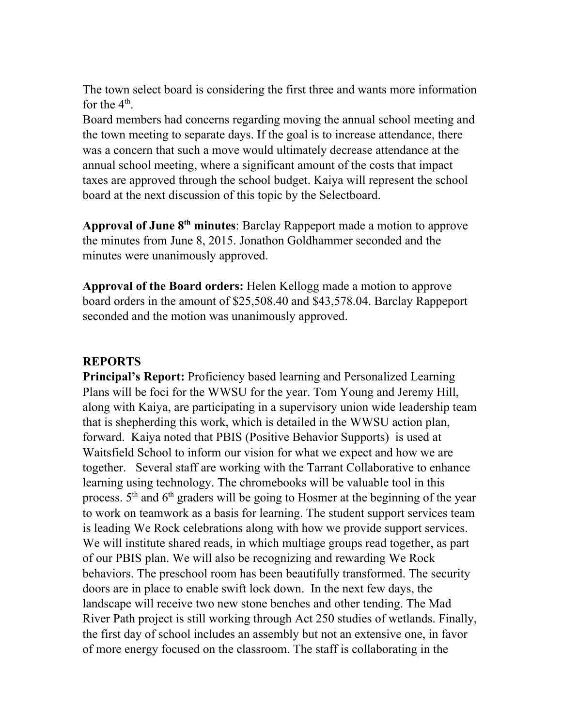The town select board is considering the first three and wants more information for the  $4^{\text{th}}$ .

Board members had concerns regarding moving the annual school meeting and the town meeting to separate days. If the goal is to increase attendance, there was a concern that such a move would ultimately decrease attendance at the annual school meeting, where a significant amount of the costs that impact taxes are approved through the school budget. Kaiya will represent the school board at the next discussion of this topic by the Selectboard.

**Approval of June 8thminutes**: Barclay Rappeport made a motion to approve the minutes from June 8, 2015. Jonathon Goldhammer seconded and the minutes were unanimously approved.

**Approval of the Board orders:**Helen Kellogg made a motion to approve board orders in the amount of \$25,508.40 and \$43,578.04. Barclay Rappeport seconded and the motion was unanimously approved.

#### **REPORTS**

**Principal's Report:** Proficiency based learning and Personalized Learning Plans will be foci for the WWSU for the year. Tom Young and Jeremy Hill, along with Kaiya, are participating in a supervisory union wide leadership team that is shepherding this work, which is detailed in the WWSU action plan, forward. Kaiya noted that PBIS (Positive Behavior Supports) is used at Waitsfield School to inform our vision for what we expect and how we are together. Several staff are working with the Tarrant Collaborative to enhance learning using technology. The chromebooks will be valuable tool in this process. 5<sup>th</sup> and 6<sup>th</sup> graders will be going to Hosmer at the beginning of the year to work on teamwork as a basis for learning. The student support services team is leading We Rock celebrations along with how we provide support services. We will institute shared reads, in which multiage groups read together, as part of our PBIS plan. We will also be recognizing and rewarding We Rock behaviors. The preschool room has been beautifully transformed. The security doors are in place to enable swift lock down. In the next few days, the landscape will receive two new stone benches and other tending. The Mad River Path project is still working through Act 250 studies of wetlands. Finally, the first day of school includes an assembly but not an extensive one, in favor of more energy focused on the classroom. The staff is collaborating in the